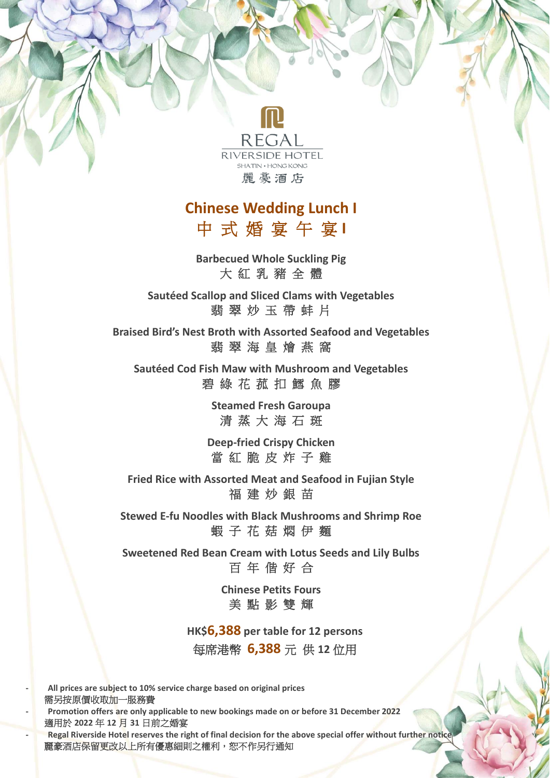

## **Chinese Wedding Lunch I** 中 式 婚 宴 午 宴 **I**

**Barbecued Whole Suckling Pig** 大 紅 乳 豬 全 體

**Sautéed Scallop and Sliced Clams with Vegetables** 翡 翠 炒 玉 帶 蚌 片

**Braised Bird's Nest Broth with Assorted Seafood and Vegetables** 翡 翠 海 皇 燴 燕 窩

**Sautéed Cod Fish Maw with Mushroom and Vegetables** 碧 綠 花 菰 扣 鱈 魚 膠

> **Steamed Fresh Garoupa** 清 蒸 大 海 石 斑

**Deep-fried Crispy Chicken** 當 紅 脆 皮 炸 子 雞

**Fried Rice with Assorted Meat and Seafood in Fujian Style** 福 建 炒 銀 苗

**Stewed E-fu Noodles with Black Mushrooms and Shrimp Roe** 蝦 子 花 菇 燜 伊 麵

**Sweetened Red Bean Cream with Lotus Seeds and Lily Bulbs** 百 年 偕 好 合

> **Chinese Petits Fours** 美 點 影 雙 輝

**HK\$6,388 per table for 12 persons** 每席港幣 **6,388** 元 供 **12** 位用

**- All prices are subject to 10% service charge based on original prices** 需另按原價收取加一服務費 **- Promotion offers are only applicable to new bookings made on or before 31 December 2022** 適用於 **2022** 年 **12** 月 **31** 日前之婚宴 **- Regal Riverside Hotel reserves the right of final decision for the above special offer without further notice** 麗豪酒店保留更改以上所有優惠細則之權利,恕不作另行通知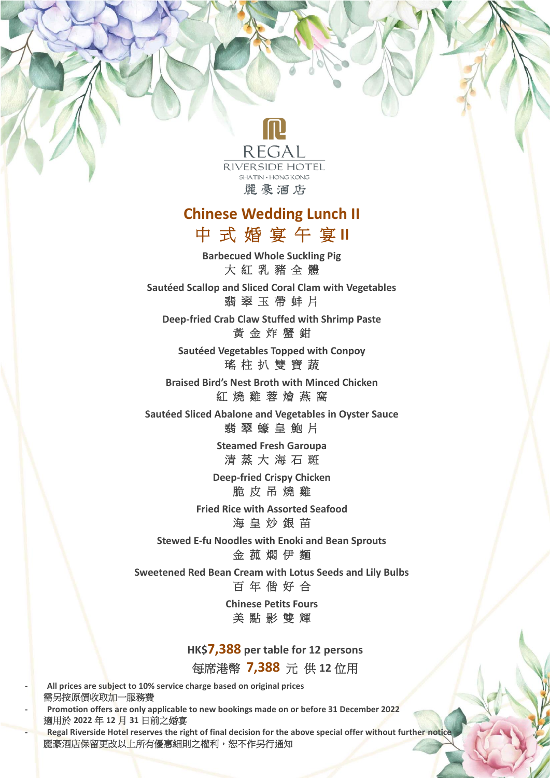

## **Chinese Wedding Lunch II** 中 式 婚 宴 午 宴 **II**

**Barbecued Whole Suckling Pig** 大 紅 乳 豬 全 體

**Sautéed Scallop and Sliced Coral Clam with Vegetables** 翡 翠 玉 帶 蚌 片

**Deep-fried Crab Claw Stuffed with Shrimp Paste** 黃 金 炸 蟹 鉗

**Sautéed Vegetables Topped with Conpoy** 瑤 柱 扒 雙 寶 蔬

**Braised Bird's Nest Broth with Minced Chicken** 紅 燒 雞 蓉 燴 燕 窩

**Sautéed Sliced Abalone and Vegetables in Oyster Sauce** 翡 翠 蠔 皇 鮑 片

> **Steamed Fresh Garoupa** 清 蒸 大 海 石 斑

**Deep-fried Crispy Chicken** 脆 皮 吊 燒 雞

**Fried Rice with Assorted Seafood** 海 皇 炒 銀 苗

**Stewed E-fu Noodles with Enoki and Bean Sprouts** 金 菰 燜 伊 麵

**Sweetened Red Bean Cream with Lotus Seeds and Lily Bulbs** 百 年 偕 好 合

> **Chinese Petits Fours** 美 點 影 雙 輝

**HK\$7,388 per table for 12 persons** 每席港幣 **7,388** 元 供 **12** 位用

**- All prices are subject to 10% service charge based on original prices** 需另按原價收取加一服務費 **- Promotion offers are only applicable to new bookings made on or before 31 December 2022** 適用於 **2022** 年 **12** 月 **31** 日前之婚宴

**- Regal Riverside Hotel reserves the right of final decision for the above special offer without further notice** 麗豪酒店保留更改以上所有優惠細則之權利,恕不作另行通知